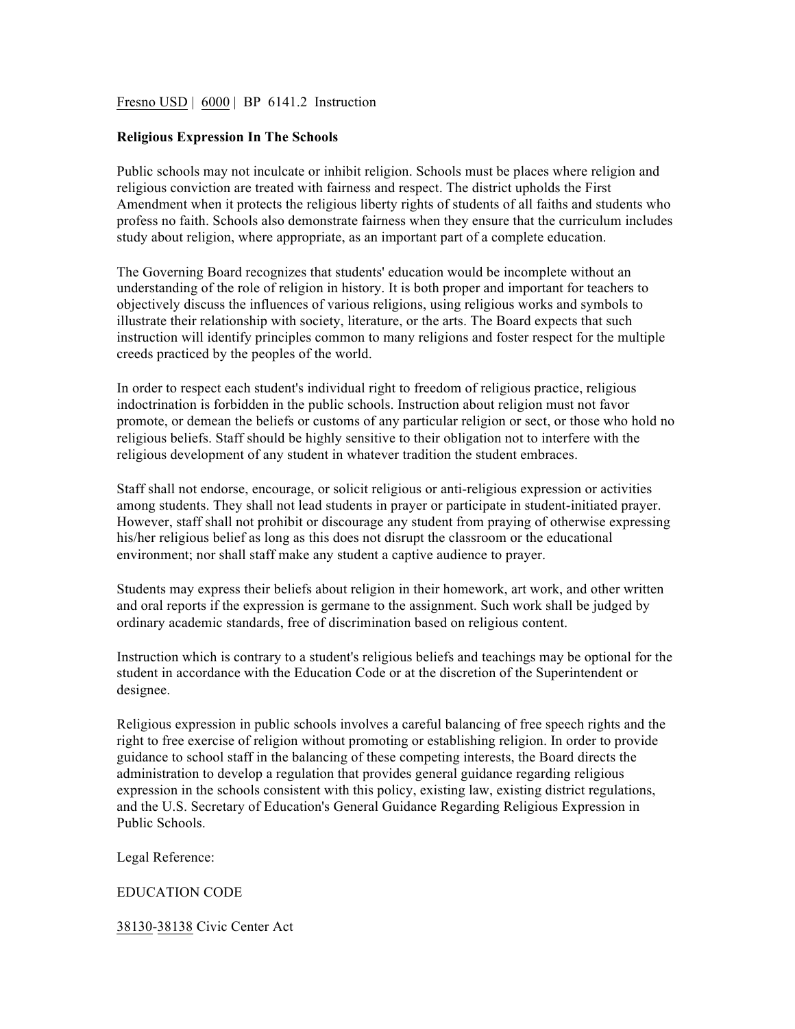## Fresno USD | 6000 | BP 6141.2 Instruction

## **Religious Expression In The Schools**

Public schools may not inculcate or inhibit religion. Schools must be places where religion and religious conviction are treated with fairness and respect. The district upholds the First Amendment when it protects the religious liberty rights of students of all faiths and students who profess no faith. Schools also demonstrate fairness when they ensure that the curriculum includes study about religion, where appropriate, as an important part of a complete education.

The Governing Board recognizes that students' education would be incomplete without an understanding of the role of religion in history. It is both proper and important for teachers to objectively discuss the influences of various religions, using religious works and symbols to illustrate their relationship with society, literature, or the arts. The Board expects that such instruction will identify principles common to many religions and foster respect for the multiple creeds practiced by the peoples of the world.

In order to respect each student's individual right to freedom of religious practice, religious indoctrination is forbidden in the public schools. Instruction about religion must not favor promote, or demean the beliefs or customs of any particular religion or sect, or those who hold no religious beliefs. Staff should be highly sensitive to their obligation not to interfere with the religious development of any student in whatever tradition the student embraces.

Staff shall not endorse, encourage, or solicit religious or anti-religious expression or activities among students. They shall not lead students in prayer or participate in student-initiated prayer. However, staff shall not prohibit or discourage any student from praying of otherwise expressing his/her religious belief as long as this does not disrupt the classroom or the educational environment; nor shall staff make any student a captive audience to prayer.

Students may express their beliefs about religion in their homework, art work, and other written and oral reports if the expression is germane to the assignment. Such work shall be judged by ordinary academic standards, free of discrimination based on religious content.

Instruction which is contrary to a student's religious beliefs and teachings may be optional for the student in accordance with the Education Code or at the discretion of the Superintendent or designee.

Religious expression in public schools involves a careful balancing of free speech rights and the right to free exercise of religion without promoting or establishing religion. In order to provide guidance to school staff in the balancing of these competing interests, the Board directs the administration to develop a regulation that provides general guidance regarding religious expression in the schools consistent with this policy, existing law, existing district regulations, and the U.S. Secretary of Education's General Guidance Regarding Religious Expression in Public Schools.

Legal Reference:

## EDUCATION CODE

38130-38138 Civic Center Act